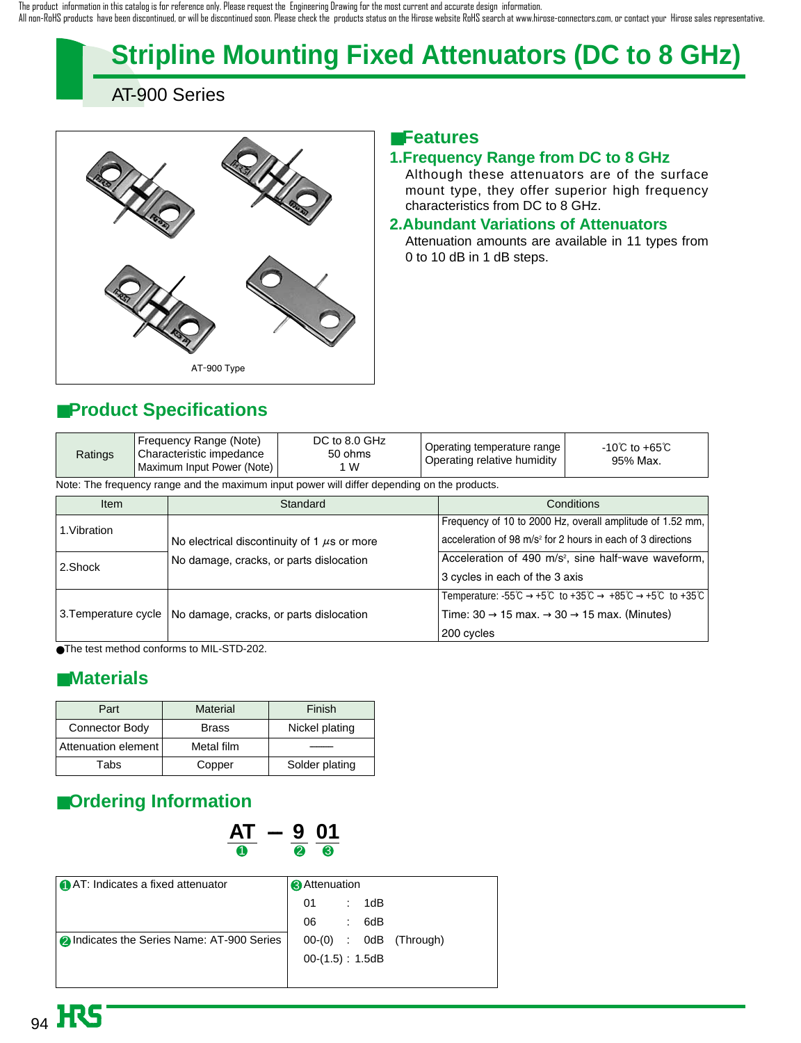# **Stripline Mounting Fixed Attenuators (DC to 8 GHz)**

AT-900 Series



## ■**Features**

#### **1.Frequency Range from DC to 8 GHz**

Although these attenuators are of the surface mount type, they offer superior high frequency characteristics from DC to 8 GHz.

#### **2.Abundant Variations of Attenuators**

Attenuation amounts are available in 11 types from 0 to 10 dB in 1 dB steps.

## ■**Product Specifications**

| Ratings | Frequency Range (Note)<br>' Characteristic impedance<br>Maximum Input Power (Note) | DC to 8.0 GHz<br>50 ohms<br>1 W | Operating temperature range  <br>Operating relative humidity | -10℃ to +65℃<br>95% Max. |
|---------|------------------------------------------------------------------------------------|---------------------------------|--------------------------------------------------------------|--------------------------|
|---------|------------------------------------------------------------------------------------|---------------------------------|--------------------------------------------------------------|--------------------------|

Note: The frequency range and the maximum input power will differ depending on the products.

| <b>Item</b> | Standard                                                                                    | Conditions                                                                                                                                                                         |  |  |
|-------------|---------------------------------------------------------------------------------------------|------------------------------------------------------------------------------------------------------------------------------------------------------------------------------------|--|--|
| 1.Vibration |                                                                                             | Frequency of 10 to 2000 Hz, overall amplitude of 1.52 mm,                                                                                                                          |  |  |
|             | No electrical discontinuity of 1 $\mu$ s or more<br>No damage, cracks, or parts dislocation | acceleration of 98 m/s <sup>2</sup> for 2 hours in each of 3 directions                                                                                                            |  |  |
| 2.Shock     |                                                                                             | Acceleration of 490 m/s <sup>2</sup> , sine half-wave waveform,                                                                                                                    |  |  |
|             |                                                                                             | 3 cycles in each of the 3 axis                                                                                                                                                     |  |  |
|             | 3. Temperature cycle   No damage, cracks, or parts dislocation                              | Temperature: $-55^{\circ}\text{C} \rightarrow +5^{\circ}\text{C}$ to $+35^{\circ}\text{C} \rightarrow +85^{\circ}\text{C} \rightarrow +5^{\circ}\text{C}$ to $+35^{\circ}\text{C}$ |  |  |
|             |                                                                                             | Time: $30 \rightarrow 15$ max. $\rightarrow 30 \rightarrow 15$ max. (Minutes)                                                                                                      |  |  |
|             |                                                                                             | 200 cycles                                                                                                                                                                         |  |  |

●The test method conforms to MIL-STD-202.

### ■**Materials**

| Part                | Material     | Finish         |  |  |
|---------------------|--------------|----------------|--|--|
| Connector Body      | <b>Brass</b> | Nickel plating |  |  |
| Attenuation element | Metal film   |                |  |  |
| Tabs                | Copper       | Solder plating |  |  |

## ■**Ordering Information**



| <b>AT:</b> Indicates a fixed attenuator    | Attenuation        |    |    |       |                            |
|--------------------------------------------|--------------------|----|----|-------|----------------------------|
|                                            |                    | 01 |    | : 1dB |                            |
|                                            |                    | 06 | ÷. | 6dB   |                            |
| 2 Indicates the Series Name: AT-900 Series |                    |    |    |       | $00-(0)$ : $0dB$ (Through) |
|                                            | $00-(1.5) : 1.5dB$ |    |    |       |                            |
|                                            |                    |    |    |       |                            |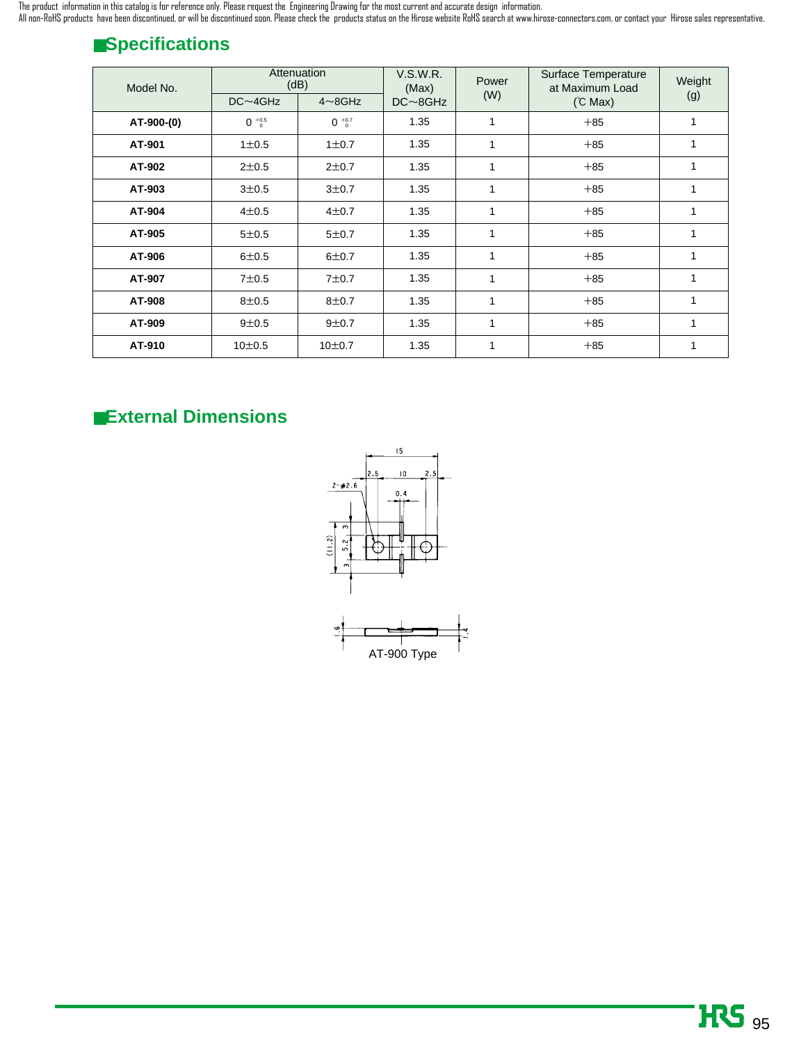The product information in this catalog is for reference only. Please request the Engineering Drawing for the most current and accurate design information. All non-RoHS products have been discontinued, or will be discontinued soon. Please check the products status on the Hirose website RoHS search at www.hirose-connectors.com, or contact your Hirose sales representative.

## ■**Specifications**

| Model No.  | Attenuation<br>(dB) |                     | <b>V.S.W.R.</b><br>(Max) | Power        | Surface Temperature<br>at Maximum Load | Weight |
|------------|---------------------|---------------------|--------------------------|--------------|----------------------------------------|--------|
|            | $DC \sim 4GHz$      | $4 \sim 8$ GHz      | $DC \sim 8GHz$           | (W)          | (C Max)                                | (g)    |
| AT-900-(0) | $0^{+0.5}_{0}$      | $0^{+0.7}_{0}$      | 1.35                     |              | $+85$                                  | 1      |
| AT-901     | $1\pm0.5$           | 1 ± 0.7             | 1.35                     | 1            | $+85$                                  | 1      |
| AT-902     | $2 + 0.5$           | $2 + 0.7$           | 1.35                     | 1            | $+85$                                  | 1      |
| AT-903     | $3 + 0.5$           | $3 + 0.7$           | 1.35                     | $\mathbf{1}$ | $+85$                                  | 1      |
| AT-904     | $4 + 0.5$           | $4 + 0.7$           | 1.35                     | 1            | $+85$                                  | 1      |
| AT-905     | $5 + 0.5$           | $5 + 0.7$           | 1.35                     | 1            | $+85$                                  | 1      |
| AT-906     | $6 + 0.5$           | $6 + 0.7$           | 1.35                     | 1            | $+85$                                  | 1      |
| AT-907     | $7\pm0.5$           | $7 + 0.7$           | 1.35                     | 1            | $+85$                                  | 1      |
| AT-908     | $8 + 0.5$           | $8 + 0.7$           | 1.35                     | 1            | $+85$                                  | 1      |
| AT-909     | $9 + 0.5$           | $9 + 0.7$           | 1.35                     | 1            | $+85$                                  | 1      |
| AT-910     | 10 <sup>±</sup> 0.5 | 10 <sup>±</sup> 0.7 | 1.35                     |              | $+85$                                  |        |

## ■**External Dimensions**

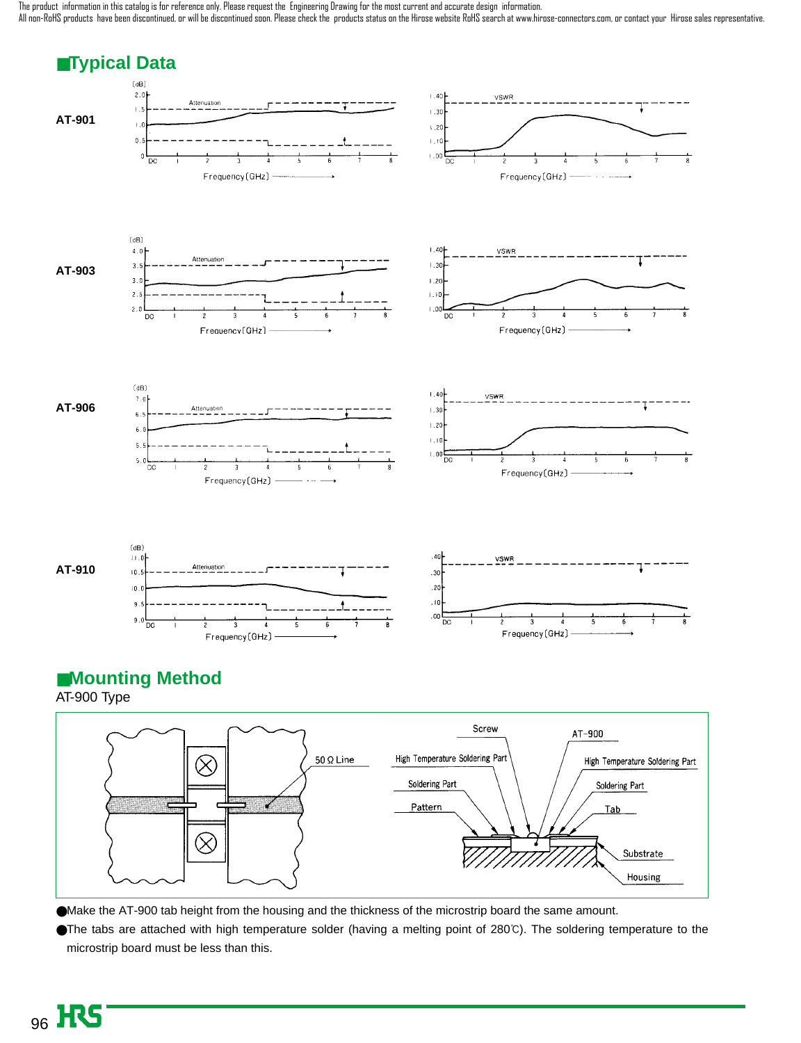The product information in this catalog is for reference only. Please request the Engineering Drawing for the most current and accurate design information. All non-RoHS products have been discontinued, or will be discontinued soon. Please check the products status on the Hirose website RoHS search at www.hirose-connectors.com, or contact your Hirose sales representative.







Soldering Part

●Make the AT-900 tab height from the housing and the thickness of the microstrip board the same amount.

●The tabs are attached with high temperature solder (having a melting point of 280℃). The soldering temperature to the microstrip board must be less than this.